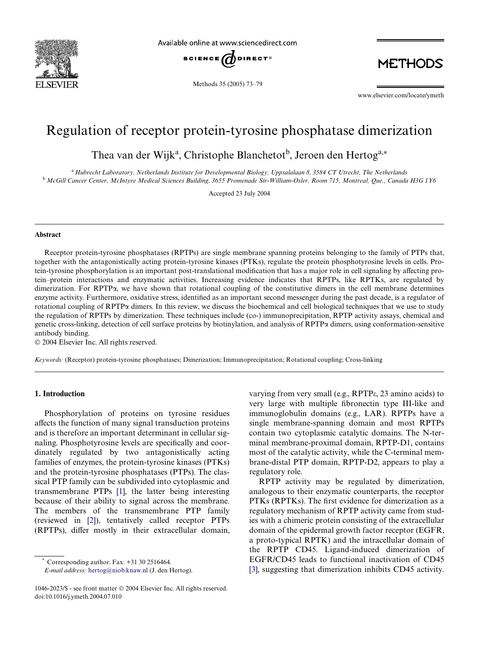

Available online at www.sciencedirect.com



Methods 35 (2005) 73–79

**METHODS** 

www.elsevier.com/locate/ymeth

# Regulation of receptor protein-tyrosine phosphatase dimerization

Thea van der Wijk<sup>a</sup>, Christophe Blanchetot<sup>b</sup>, Jeroen den Hertog<sup>a,\*</sup>

<sup>a</sup>*Hubrecht Laboratory, Netherlands Institute for Developmental Biology, Uppsalalaan 8, 3584 CT Utrecht, The Netherlands* <sup>b</sup>*McGill Cancer Center, McIntyre Medical Sciences Building, 3655 Promenade Sir-William-Osler, Room 715, Montreal, Que., Canada H3G 1Y6*

Accepted 23 July 2004

#### **Abstract**

Receptor protein-tyrosine phosphatases (RPTPs) are single membrane spanning proteins belonging to the family of PTPs that, together with the antagonistically acting protein-tyrosine kinases (PTKs), regulate the protein phosphotyrosine levels in cells. Protein-tyrosine phosphorylation is an important post-translational modification that has a major role in cell signaling by affecting protein–protein interactions and enzymatic activities. Increasing evidence indicates that RPTPs, like RPTKs, are regulated by dimerization. For RPTP $\alpha$ , we have shown that rotational coupling of the constitutive dimers in the cell membrane determines enzyme activity. Furthermore, oxidative stress, identified as an important second messenger during the past decade, is a regulator of rotational coupling of RPTP $\alpha$  dimers. In this review, we discuss the biochemical and cell biological techniques that we use to study the regulation of RPTPs by dimerization. These techniques include (co-) immunoprecipitation, RPTP activity assays, chemical and genetic cross-linking, detection of cell surface proteins by biotinylation, and analysis of RPTP $\alpha$  dimers, using conformation-sensitive antibody binding.

2004 Elsevier Inc. All rights reserved.

*Keywords:* (Receptor) protein-tyrosine phosphatases; Dimerization; Immunoprecipitation; Rotational coupling; Cross-linking

# **1. Introduction**

Phosphorylation of proteins on tyrosine residues affects the function of many signal transduction proteins and is therefore an important determinant in cellular signaling. Phosphotyrosine levels are specifically and coordinately regulated by two antagonistically acting families of enzymes, the protein-tyrosine kinases (PTKs) and the protein-tyrosine phosphatases (PTPs). The classical PTP family can be subdivided into cytoplasmic and transmembrane PTPs [\[1\]](#page-5-0), the latter being interesting because of their ability to signal across the membrane. The members of the transmembrane PTP family (reviewed in [\[2\]\)](#page-5-1), tentatively called receptor PTPs (RPTPs), differ mostly in their extracellular domain,

Corresponding author. Fax:  $+31$  30 2516464.

*E-mail address:* [hertog@niob.knaw.nl](mailto: hertog@niob.knaw.nl) (J. den Hertog).

varying from very small (e.g.,  $RPTP\epsilon$ , 23 amino acids) to very large with multiple fibronectin type III-like and immunoglobulin domains (e.g., LAR). RPTPs have a single membrane-spanning domain and most RPTPs contain two cytoplasmic catalytic domains. The N-terminal membrane-proximal domain, RPTP-D1, contains most of the catalytic activity, while the C-terminal membrane-distal PTP domain, RPTP-D2, appears to play a regulatory role.

RPTP activity may be regulated by dimerization, analogous to their enzymatic counterparts, the receptor PTKs (RPTKs). The first evidence for dimerization as a regulatory mechanism of RPTP activity came from studies with a chimeric protein consisting of the extracellular domain of the epidermal growth factor receptor (EGFR, a proto-typical RPTK) and the intracellular domain of the RPTP CD45. Ligand-induced dimerization of EGFR/CD45 leads to functional inactivation of CD45 [\[3\]](#page-5-2), suggesting that dimerization inhibits CD45 activity.

<sup>1046-2023/\$ -</sup> see front matter 2004 Elsevier Inc. All rights reserved. doi:10.1016/j.ymeth.2004.07.010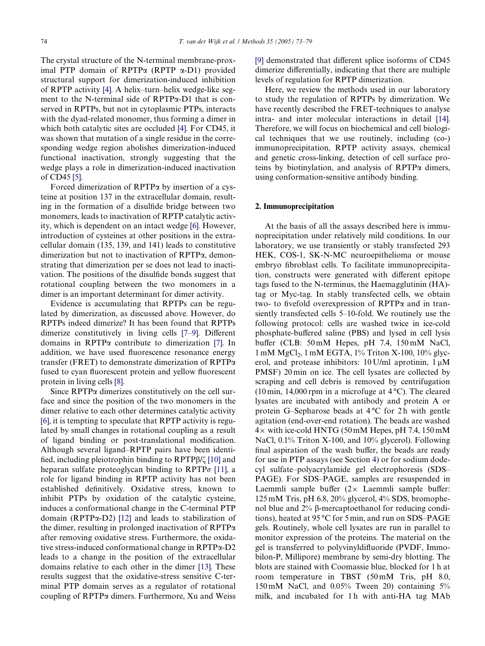The crystal structure of the N-terminal membrane-proximal PTP domain of RPTP $\alpha$  (RPTP  $\alpha$ -D1) provided structural support for dimerization-induced inhibition of RPTP activity [\[4\]](#page-5-3). A helix–turn–helix wedge-like segment to the N-terminal side of  $RPTP\alpha-D1$  that is conserved in RPTPs, but not in cytoplasmic PTPs, interacts with the dyad-related monomer, thus forming a dimer in which both catalytic sites are occluded [\[4\].](#page-5-3) For CD45, it was shown that mutation of a single residue in the corresponding wedge region abolishes dimerization-induced functional inactivation, strongly suggesting that the wedge plays a role in dimerization-induced inactivation of CD45 [\[5\].](#page-5-4)

Forced dimerization of  $RPTP\alpha$  by insertion of a cysteine at position 137 in the extracellular domain, resulting in the formation of a disulfide bridge between two monomers, leads to inactivation of RPTP catalytic activity, which is dependent on an intact wedge [\[6\].](#page-5-5) However, introduction of cysteines at other positions in the extracellular domain (135, 139, and 141) leads to constitutive dimerization but not to inactivation of RPTP $\alpha$ , demonstrating that dimerization per se does not lead to inactivation. The positions of the disulfide bonds suggest that rotational coupling between the two monomers in a dimer is an important determinant for dimer activity.

Evidence is accumulating that RPTPs can be regulated by dimerization, as discussed above. However, do RPTPs indeed dimerize? It has been found that RPTPs dimerize constitutively in living cells  $[7-9]$ . Different domains in RPTP $\alpha$  contribute to dimerization [\[7\].](#page-5-6) In addition, we have used fluorescence resonance energy transfer (FRET) to demonstrate dimerization of RPTP $\alpha$ fused to cyan fluorescent protein and yellow fluorescent protein in living cells [\[8\].](#page-5-7)

Since  $RPTP\alpha$  dimerizes constitutively on the cell surface and since the position of the two monomers in the dimer relative to each other determines catalytic activity [\[6\]](#page-5-5), it is tempting to speculate that RPTP activity is regulated by small changes in rotational coupling as a result of ligand binding or post-translational modification. Although several ligand–RPTP pairs have been identified, including pleiotrophin binding to  $RPTP\beta/\zeta$  [\[10\]](#page-5-8) and heparan sulfate proteoglycan binding to  $RPTP\sigma$  [\[11\],](#page-5-9) a role for ligand binding in RPTP activity has not been established definitively. Oxidative stress, known to inhibit PTPs by oxidation of the catalytic cysteine, induces a conformational change in the C-terminal PTP domain (RPTP $\alpha$ -D2) [\[12\]](#page-5-10) and leads to stabilization of the dimer, resulting in prolonged inactivation of  $RPTP\alpha$ after removing oxidative stress. Furthermore, the oxidative stress-induced conformational change in  $RPTP\alpha-D2$ leads to a change in the position of the extracellular domains relative to each other in the dimer [\[13\].](#page-5-11) These results suggest that the oxidative-stress sensitive C-terminal PTP domain serves as a regulator of rotational coupling of  $RPTP\alpha$  dimers. Furthermore, Xu and Weiss

[\[9\]](#page-5-12) demonstrated that different splice isoforms of CD45 dimerize differentially, indicating that there are multiple levels of regulation for RPTP dimerization.

Here, we review the methods used in our laboratory to study the regulation of RPTPs by dimerization. We have recently described the FRET-techniques to analyse intra- and inter molecular interactions in detail [\[14\].](#page-5-13) Therefore, we will focus on biochemical and cell biological techniques that we use routinely, including (co-) immunoprecipitation, RPTP activity assays, chemical and genetic cross-linking, detection of cell surface proteins by biotinylation, and analysis of  $RPTP\alpha$  dimers, using conformation-sensitive antibody binding.

# **2. Immunoprecipitation**

At the basis of all the assays described here is immunoprecipitation under relatively mild conditions. In our laboratory, we use transiently or stably transfected 293 HEK, COS-1, SK-N-MC neuroepithelioma or mouse embryo fibroblast cells. To facilitate immunoprecipitation, constructs were generated with different epitope tags fused to the N-terminus, the Haemagglutinin (HA) tag or Myc-tag. In stably transfected cells, we obtain two- to fivefold overexpression of  $RPTP\alpha$  and in transiently transfected cells 5–10-fold. We routinely use the following protocol: cells are washed twice in ice-cold phosphate-buffered saline (PBS) and lysed in cell lysis buffer (CLB: 50 mM Hepes, pH 7.4, 150 mM NaCl,  $1 \text{ mM } MgCl<sub>2</sub>$ ,  $1 \text{ mM } EGTA$ ,  $1\%$  Triton X-100,  $10\%$  glycerol, and protease inhibitors:  $10$  U/ml aprotinin,  $1 \mu$ M PMSF) 20 min on ice. The cell lysates are collected by scraping and cell debris is removed by centrifugation  $(10 \text{ min}, 14,000 \text{ rpm})$  in a microfuge at  $4^{\circ}$ C). The cleared lysates are incubated with antibody and protein A or protein G–Sepharose beads at  $4^{\circ}$ C for 2h with gentle agitation (end-over-end rotation). The beads are washed  $4\times$  with ice-cold HNTG (50 mM Hepes, pH 7.4, 150 mM NaCl, 0.1% Triton X-100, and 10% glycerol). Following final aspiration of the wash buffer, the beads are ready for use in PTP assays (see Section [4](#page-2-0)) or for sodium dodecyl sulfate–polyacrylamide gel electrophoresis (SDS– PAGE). For SDS–PAGE, samples are resuspended in Laemmli sample buffer  $(2 \times$  Laemmli sample buffer: 125 mM Tris, pH 6.8, 20% glycerol, 4% SDS, bromophenol blue and  $2\%$   $\beta$ -mercaptoethanol for reducing conditions), heated at 95 °C for 5 min, and run on SDS–PAGE gels. Routinely, whole cell lysates are run in parallel to monitor expression of the proteins. The material on the gel is transferred to polyvinyldifluoride (PVDF, Immobilon-P, Millipore) membrane by semi-dry blotting. The blots are stained with Coomassie blue, blocked for 1 h at room temperature in TBST (50 mM Tris, pH 8.0, 150 mM NaCl, and 0.05% Tween 20) containing 5% milk, and incubated for 1 h with anti-HA tag MAb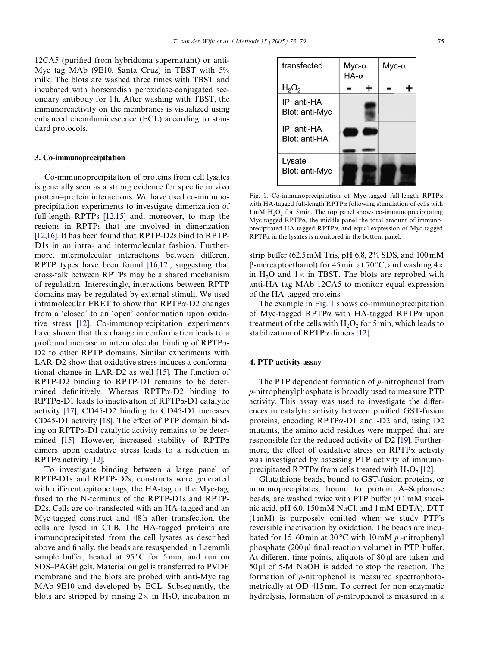$12CA5$  (purified from hybridoma supernatant) or anti-Myc tag MAb (9E10, Santa Cruz) in TBST with 5% milk. The blots are washed three times with TBST and incubated with horseradish peroxidase-conjugated secondary antibody for 1 h. After washing with TBST, the immunoreactivity on the membranes is visualized using enhanced chemiluminescence (ECL) according to standard protocols.

#### **3. Co-immunoprecipitation**

Co-immunoprecipitation of proteins from cell lysates is generally seen as a strong evidence for specific in vivo protein–protein interactions. We have used co-immunoprecipitation experiments to investigate dimerization of full-length RPTPs [\[12,15\]](#page-5-10) and, moreover, to map the regions in RPTPs that are involved in dimerization [\[12,16\]](#page-5-10). It has been found that RPTP-D2s bind to RPTP-D1s in an intra- and intermolecular fashion. Furthermore, intermolecular interactions between different RPTP types have been found [\[16,17\],](#page-5-14) suggesting that cross-talk between RPTPs may be a shared mechanism of regulation. Interestingly, interactions between RPTP domains may be regulated by external stimuli. We used intramolecular FRET to show that  $RPTP\alpha-D2$  changes from a 'closed' to an 'open' conformation upon oxidative stress [\[12\].](#page-5-10) Co-immunoprecipitation experiments have shown that this change in conformation leads to a profound increase in intermolecular binding of  $RPTP\alpha$ -D2 to other RPTP domains. Similar experiments with LAR-D2 show that oxidative stress induces a conformational change in LAR-D2 as well [\[15\]](#page-5-15). The function of RPTP-D2 binding to RPTP-D1 remains to be determined definitively. Whereas  $RPTP\alpha-D2$  binding to  $RPTP\alpha-D1$  leads to inactivation of  $RPTP\alpha-D1$  catalytic activity [\[17\],](#page-5-16) CD45-D2 binding to CD45-D1 increases  $CD45-D1$  activity [\[18\]](#page-6-0). The effect of PTP domain binding on  $RPTP\alpha-D1$  catalytic activity remains to be deter-mined [\[15\].](#page-5-15) However, increased stability of RPTP $\alpha$ dimers upon oxidative stress leads to a reduction in  $RPTP\alpha$  activity [\[12\]](#page-5-10).

To investigate binding between a large panel of RPTP-D1s and RPTP-D2s, constructs were generated with different epitope tags, the HA-tag or the Myc-tag, fused to the N-terminus of the RPTP-D1s and RPTP-D2s. Cells are co-transfected with an HA-tagged and an Myc-tagged construct and 48 h after transfection, the cells are lysed in CLB. The HA-tagged proteins are immunoprecipitated from the cell lysates as described above and finally, the beads are resuspended in Laemmli sample buffer, heated at  $95^{\circ}$ C for 5 min, and run on SDS–PAGE gels. Material on gel is transferred to PVDF membrane and the blots are probed with anti-Myc tag MAb 9E10 and developed by ECL. Subsequently, the blots are stripped by rinsing  $2\times$  in H<sub>2</sub>O, incubation in



<span id="page-2-1"></span>Fig. 1. Co-immunoprecipitation of Myc-tagged full-length RPTP $\alpha$ with HA-tagged full-length  $RPTP\alpha$  following stimulation of cells with  $1 \text{ mM } H<sub>2</sub>O<sub>2</sub>$  for 5 min. The top panel shows co-immunoprecipitating Myc-tagged RPTP $\alpha$ , the middle panel the total amount of immunoprecipitated HA-tagged RPTP $\alpha$ , and equal expression of Myc-tagged  $RPTP\alpha$  in the lysates is monitored in the bottom panel.

strip buffer (62.5 mM Tris, pH 6.8,  $2\%$  SDS, and 100 mM  $\beta$ -mercaptoethanol) for 45 min at 70 °C, and washing 4 $\times$ in H<sub>2</sub>O and  $1\times$  in TBST. The blots are reprobed with anti-HA tag MAb 12CA5 to monitor equal expression of the HA-tagged proteins.

The example in [Fig. 1](#page-2-1) shows co-immunoprecipitation of Myc-tagged RPTP $\alpha$  with HA-tagged RPTP $\alpha$  upon treatment of the cells with  $H_2O_2$  for 5 min, which leads to stabilization of RPTP $\alpha$  dimers [\[12\].](#page-5-10)

# <span id="page-2-0"></span>**4. PTP activity assay**

The PTP dependent formation of *p*-nitrophenol from *p*-nitrophenylphosphate is broadly used to measure PTP activity. This assay was used to investigate the differences in catalytic activity between purified GST-fusion proteins, encoding RPTP $\alpha$ -D1 and -D2 and, using D2 mutants, the amino acid residues were mapped that are responsible for the reduced activity of D2 [\[19\].](#page-6-1) Furthermore, the effect of oxidative stress on  $RPTP\alpha$  activity was investigated by assessing PTP activity of immunoprecipitated RPTP $\alpha$  from cells treated with H<sub>2</sub>O<sub>2</sub> [\[12\].](#page-5-10)

Glutathione beads, bound to GST-fusion proteins, or immunoprecipitates, bound to protein A–Sepharose beads, are washed twice with PTP buffer  $(0.1 \text{ mM} \text{ succi-})$ nic acid, pH 6.0, 150 mM NaCl, and 1 mM EDTA). DTT (1 mM) is purposely omitted when we study PTP's reversible inactivation by oxidation. The beads are incubated for 15–60 min at 30 °C with 10 mM *p* -nitrophenyl phosphate  $(200 \,\mu$  final reaction volume) in PTP buffer. At different time points, aliquots of  $80 \mu$  are taken and  $50 \mu$ l of 5-M NaOH is added to stop the reaction. The formation of *p*-nitrophenol is measured spectrophotometrically at OD 415 nm. To correct for non-enzymatic hydrolysis, formation of *p*-nitrophenol is measured in a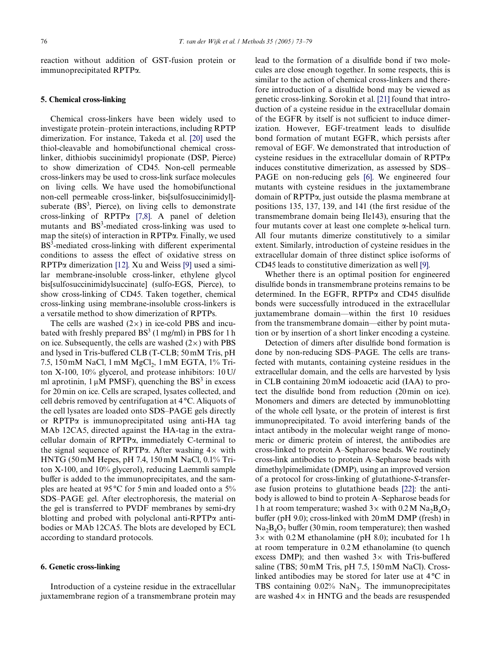reaction without addition of GST-fusion protein or immunoprecipitated RPTP $\alpha$ .

# **5. Chemical cross-linking**

Chemical cross-linkers have been widely used to investigate protein–protein interactions, including RPTP dimerization. For instance, Takeda et al. [\[20\]](#page-6-2) used the thiol-cleavable and homobifunctional chemical crosslinker, dithiobis succinimidyl propionate (DSP, Pierce) to show dimerization of CD45. Non-cell permeable cross-linkers may be used to cross-link surface molecules on living cells. We have used the homobifunctional non-cell permeable cross-linker, bis[sulfosuccinimidyl] suberate  $(BS^3,$  Pierce), on living cells to demonstrate cross-linking of RPTP $\alpha$  [\[7,8\].](#page-5-6) A panel of deletion mutants and BS<sup>3</sup>-mediated cross-linking was used to map the site(s) of interaction in RPTP $\alpha$ . Finally, we used  $BS<sup>3</sup>$ -mediated cross-linking with different experimental conditions to assess the effect of oxidative stress on  $RPTP\alpha$  dimerization [\[12\]](#page-5-10). Xu and Weiss [\[9\]](#page-5-12) used a similar membrane-insoluble cross-linker, ethylene glycol bis[sulfosuccinimidylsuccinate] (sulfo-EGS, Pierce), to show cross-linking of CD45. Taken together, chemical cross-linking using membrane-insoluble cross-linkers is a versatile method to show dimerization of RPTPs.

The cells are washed  $(2\times)$  in ice-cold PBS and incubated with freshly prepared  $BS^3$  (1 mg/ml) in PBS for 1 h on ice. Subsequently, the cells are washed  $(2\times)$  with PBS and lysed in Tris-buffered CLB (T-CLB; 50 mM Tris, pH 7.5, 150 mM NaCl, 1 mM MgCl<sub>2</sub>, 1 mM EGTA, 1% Triton X-100, 10% glycerol, and protease inhibitors: 10 U/ ml aprotinin,  $1 \mu M$  PMSF), quenching the BS<sup>3</sup> in excess for 20 min on ice. Cells are scraped, lysates collected, and cell debris removed by centrifugation at 4 °C. Aliquots of the cell lysates are loaded onto SDS–PAGE gels directly or RPTP $\alpha$  is immunoprecipitated using anti-HA tag MAb 12CA5, directed against the HA-tag in the extracellular domain of  $RPTP\alpha$ , immediately C-terminal to the signal sequence of RPTP $\alpha$ . After washing  $4 \times$  with HNTG (50 mM Hepes, pH 7.4, 150 mM NaCl, 0.1% Triton X-100, and 10% glycerol), reducing Laemmli sample buffer is added to the immunoprecipitates, and the samples are heated at 95 °C for 5 min and loaded onto a 5% SDS–PAGE gel. After electrophoresis, the material on the gel is transferred to PVDF membranes by semi-dry blotting and probed with polyclonal anti-RPTP $\alpha$  antibodies or MAb 12CA5. The blots are developed by ECL according to standard protocols.

#### **6. Genetic cross-linking**

Introduction of a cysteine residue in the extracellular juxtamembrane region of a transmembrane protein may

lead to the formation of a disulfide bond if two molecules are close enough together. In some respects, this is similar to the action of chemical cross-linkers and therefore introduction of a disulfide bond may be viewed as genetic cross-linking. Sorokin et al. [\[21\]](#page-6-3) found that introduction of a cysteine residue in the extracellular domain of the EGFR by itself is not sufficient to induce dimerization. However, EGF-treatment leads to disulfide bond formation of mutant EGFR, which persists after removal of EGF. We demonstrated that introduction of cysteine residues in the extracellular domain of  $RPTP\alpha$ induces constitutive dimerization, as assessed by SDS– PAGE on non-reducing gels [\[6\].](#page-5-5) We engineered four mutants with cysteine residues in the juxtamembrane domain of  $RPTP\alpha$ , just outside the plasma membrane at positions 135, 137, 139, and 141 (the first residue of the transmembrane domain being Ile143), ensuring that the four mutants cover at least one complete  $\alpha$ -helical turn. All four mutants dimerize constitutively to a similar extent. Similarly, introduction of cysteine residues in the extracellular domain of three distinct splice isoforms of CD45 leads to constitutive dimerization as well [\[9\]](#page-5-12).

Whether there is an optimal position for engineered disulfide bonds in transmembrane proteins remains to be determined. In the EGFR,  $RPTP\alpha$  and CD45 disulfide bonds were successfully introduced in the extracellular juxtamembrane domain—within the first 10 residues from the transmembrane domain––either by point mutation or by insertion of a short linker encoding a cysteine.

Detection of dimers after disulfide bond formation is done by non-reducing SDS–PAGE. The cells are transfected with mutants, containing cysteine residues in the extracellular domain, and the cells are harvested by lysis in CLB containing 20 mM iodoacetic acid (IAA) to protect the disulfide bond from reduction  $(20 \text{min on ice})$ . Monomers and dimers are detected by immunoblotting of the whole cell lysate, or the protein of interest is first immunoprecipitated. To avoid interfering bands of the intact antibody in the molecular weight range of monomeric or dimeric protein of interest, the antibodies are cross-linked to protein A–Sepharose beads. We routinely cross-link antibodies to protein A–Sepharose beads with dimethylpimelimidate (DMP), using an improved version of a protocol for cross-linking of glutathione-*S*-transferase fusion proteins to glutathione beads [\[22\]:](#page-6-4) the antibody is allowed to bind to protein A–Sepharose beads for 1 h at room temperature; washed  $3\times$  with 0.2 M Na<sub>2</sub>B<sub>4</sub>O<sub>7</sub> buffer (pH 9.0); cross-linked with  $20 \text{ mM } DMP$  (fresh) in  $Na<sub>2</sub>B<sub>4</sub>O<sub>7</sub>$  buffer (30 min, room temperature); then washed  $3\times$  with 0.2 M ethanolamine (pH 8.0); incubated for 1 h at room temperature in 0.2 M ethanolamine (to quench excess DMP); and then washed  $3\times$  with Tris-buffered saline (TBS; 50 mM Tris, pH 7.5, 150 mM NaCl). Crosslinked antibodies may be stored for later use at 4 °C in TBS containing  $0.02\%$  NaN<sub>3</sub>. The immunoprecipitates are washed  $4\times$  in HNTG and the beads are resuspended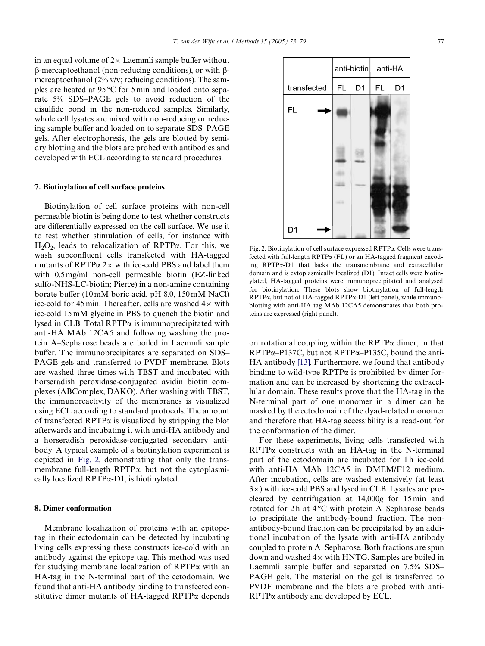in an equal volume of  $2\times$  Laemmli sample buffer without  $\beta$ -mercaptoethanol (non-reducing conditions), or with  $\beta$ mercaptoethanol (2% v/v; reducing conditions). The samples are heated at 95 °C for 5 min and loaded onto separate 5% SDS–PAGE gels to avoid reduction of the disulfide bond in the non-reduced samples. Similarly, whole cell lysates are mixed with non-reducing or reducing sample buffer and loaded on to separate SDS–PAGE gels. After electrophoresis, the gels are blotted by semidry blotting and the blots are probed with antibodies and developed with ECL according to standard procedures.

### **7. Biotinylation of cell surface proteins**

Biotinylation of cell surface proteins with non-cell permeable biotin is being done to test whether constructs are differentially expressed on the cell surface. We use it to test whether stimulation of cells, for instance with  $H_2O_2$ , leads to relocalization of RPTP $\alpha$ . For this, we wash subconfluent cells transfected with HA-tagged mutants of RPTP $\alpha$  2 $\times$  with ice-cold PBS and label them with 0.5 mg/ml non-cell permeable biotin (EZ-linked sulfo-NHS-LC-biotin; Pierce) in a non-amine containing borate buffer (10 mM boric acid, pH  $8.0$ , 150 mM NaCl) ice-cold for 45 min. Thereafter, cells are washed  $4\times$  with ice-cold 15 mM glycine in PBS to quench the biotin and lysed in CLB. Total  $RPTP\alpha$  is immunoprecipitated with anti-HA MAb 12CA5 and following washing the protein A–Sepharose beads are boiled in Laemmli sample buffer. The immunoprecipitates are separated on SDS– PAGE gels and transferred to PVDF membrane. Blots are washed three times with TBST and incubated with horseradish peroxidase-conjugated avidin–biotin complexes (ABComplex, DAKO). After washing with TBST, the immunoreactivity of the membranes is visualized using ECL according to standard protocols. The amount of transfected RPTP $\alpha$  is visualized by stripping the blot afterwards and incubating it with anti-HA antibody and a horseradish peroxidase-conjugated secondary antibody. A typical example of a biotinylation experiment is depicted in [Fig. 2](#page-4-0), demonstrating that only the transmembrane full-length  $RPTP\alpha$ , but not the cytoplasmically localized  $RPTP\alpha-D1$ , is biotinylated.

# **8. Dimer conformation**

Membrane localization of proteins with an epitopetag in their ectodomain can be detected by incubating living cells expressing these constructs ice-cold with an antibody against the epitope tag. This method was used for studying membrane localization of  $RPTP\alpha$  with an HA-tag in the N-terminal part of the ectodomain. We found that anti-HA antibody binding to transfected constitutive dimer mutants of HA-tagged RPTP $\alpha$  depends



<span id="page-4-0"></span>Fig. 2. Biotinylation of cell surface expressed RPTPa. Cells were transfected with full-length  $RPTP\alpha$  (FL) or an HA-tagged fragment encoding  $RPTP\alpha-D1$  that lacks the transmembrane and extracellular domain and is cytoplasmically localized (D1). Intact cells were biotinylated, HA-tagged proteins were immunoprecipitated and analysed for biotinylation. These blots show biotinylation of full-length  $RPTP\alpha$ , but not of HA-tagged  $RPTP\alpha$ -D1 (left panel), while immunoblotting with anti-HA tag MAb 12CA5 demonstrates that both proteins are expressed (right panel).

on rotational coupling within the  $RPTP\alpha$  dimer, in that  $RPTP\alpha-P137C$ , but not  $RPTP\alpha-P135C$ , bound the anti-HA antibody [\[13\].](#page-5-11) Furthermore, we found that antibody binding to wild-type  $RPTP\alpha$  is prohibited by dimer formation and can be increased by shortening the extracellular domain. These results prove that the HA-tag in the N-terminal part of one monomer in a dimer can be masked by the ectodomain of the dyad-related monomer and therefore that HA-tag accessibility is a read-out for the conformation of the dimer.

For these experiments, living cells transfected with  $RPTP\alpha$  constructs with an HA-tag in the N-terminal part of the ectodomain are incubated for 1 h ice-cold with anti-HA MAb 12CA5 in DMEM/F12 medium. After incubation, cells are washed extensively (at least  $3\times$ ) with ice-cold PBS and lysed in CLB. Lysates are precleared by centrifugation at 14,000*g* for 15 min and rotated for 2h at 4°C with protein A–Sepharose beads to precipitate the antibody-bound fraction. The nonantibody-bound fraction can be precipitated by an additional incubation of the lysate with anti-HA antibody coupled to protein A–Sepharose. Both fractions are spun down and washed  $4\times$  with HNTG. Samples are boiled in Laemmli sample buffer and separated on 7.5% SDS-PAGE gels. The material on the gel is transferred to PVDF membrane and the blots are probed with anti- $RPTP\alpha$  antibody and developed by ECL.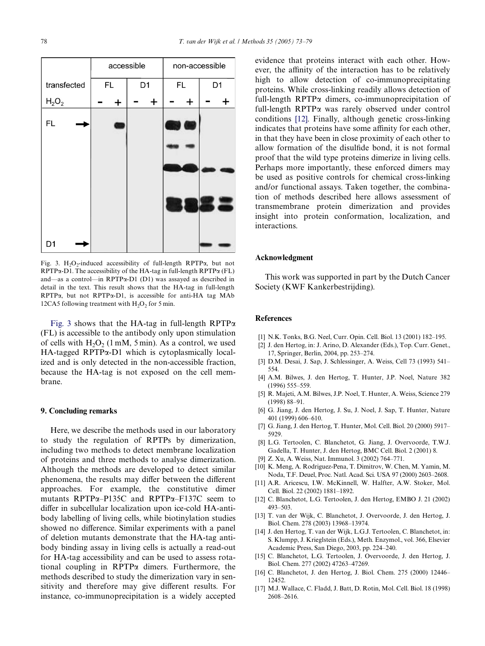

<span id="page-5-17"></span>Fig. 3. H<sub>2</sub>O<sub>2</sub>-induced accessibility of full-length RPTP $\alpha$ , but not  $RPTP\alpha-D1$ . The accessibility of the HA-tag in full-length  $RPTP\alpha$  (FL) and-as a control-in RPTPa-D1 (D1) was assayed as described in detail in the text. This result shows that the HA-tag in full-length  $RPTP\alpha$ , but not  $RPTP\alpha$ -D1, is accessible for anti-HA tag MAb 12CA5 following treatment with  $H_2O_2$  for 5 min.

[Fig. 3](#page-5-17) shows that the HA-tag in full-length RPTP $\alpha$ (FL) is accessible to the antibody only upon stimulation of cells with  $H_2O_2$  (1 mM, 5 min). As a control, we used  $HA$ -tagged RPTP $\alpha$ -D1 which is cytoplasmically localized and is only detected in the non-accessible fraction, because the HA-tag is not exposed on the cell membrane.

#### **9. Concluding remarks**

Here, we describe the methods used in our laboratory to study the regulation of RPTPs by dimerization, including two methods to detect membrane localization of proteins and three methods to analyse dimerization. Although the methods are developed to detect similar phenomena, the results may differ between the different approaches. For example, the constitutive dimer mutants RPTP $\alpha$ -P135C and RPTP $\alpha$ -F137C seem to differ in subcellular localization upon ice-cold HA-antibody labelling of living cells, while biotinylation studies showed no difference. Similar experiments with a panel of deletion mutants demonstrate that the HA-tag antibody binding assay in living cells is actually a read-out for HA-tag accessibility and can be used to assess rotational coupling in RPTP $\alpha$  dimers. Furthermore, the methods described to study the dimerization vary in sensitivity and therefore may give different results. For instance, co-immunoprecipitation is a widely accepted

evidence that proteins interact with each other. However, the affinity of the interaction has to be relatively high to allow detection of co-immunoprecipitating proteins. While cross-linking readily allows detection of full-length RPTP $\alpha$  dimers, co-immunoprecipitation of full-length  $RPTP\alpha$  was rarely observed under control conditions [\[12\].](#page-5-10) Finally, although genetic cross-linking indicates that proteins have some affinity for each other, in that they have been in close proximity of each other to allow formation of the disulfide bond, it is not formal proof that the wild type proteins dimerize in living cells. Perhaps more importantly, these enforced dimers may be used as positive controls for chemical cross-linking and/or functional assays. Taken together, the combination of methods described here allows assessment of transmembrane protein dimerization and provides insight into protein conformation, localization, and interactions.

#### **Acknowledgment**

This work was supported in part by the Dutch Cancer Society (KWF Kankerbestrijding).

# **References**

- <span id="page-5-0"></span>[1] N.K. Tonks, B.G. Neel, Curr. Opin. Cell. Biol. 13 (2001) 182–195.
- <span id="page-5-1"></span>[2] J. den Hertog, in: J. Arino, D. Alexander (Eds.), Top. Curr. Genet., 17, Springer, Berlin, 2004, pp. 253–274.
- <span id="page-5-2"></span>[3] D.M. Desai, J. Sap, J. Schlessinger, A. Weiss, Cell 73 (1993) 541– 554.
- <span id="page-5-3"></span>[4] A.M. Bilwes, J. den Hertog, T. Hunter, J.P. Noel, Nature 382 (1996) 555–559.
- <span id="page-5-4"></span>[5] R. Majeti, A.M. Bilwes, J.P. Noel, T. Hunter, A. Weiss, Science 279 (1998) 88–91.
- <span id="page-5-5"></span>[6] G. Jiang, J. den Hertog, J. Su, J. Noel, J. Sap, T. Hunter, Nature 401 (1999) 606–610.
- <span id="page-5-6"></span>[7] G. Jiang, J. den Hertog, T. Hunter, Mol. Cell. Biol. 20 (2000) 5917– 5929.
- <span id="page-5-7"></span>[8] L.G. Tertoolen, C. Blanchetot, G. Jiang, J. Overvoorde, T.W.J. Gadella, T. Hunter, J. den Hertog, BMC Cell. Biol. 2 (2001) 8.
- <span id="page-5-12"></span>[9] Z. Xu, A. Weiss, Nat. Immunol. 3 (2002) 764–771.
- <span id="page-5-8"></span>[10] K. Meng, A. Rodriguez-Pena, T. Dimitrov, W. Chen, M. Yamin, M. Noda, T.F. Deuel, Proc. Natl. Acad. Sci. USA 97 (2000) 2603–2608.
- <span id="page-5-9"></span>[11] A.R. Aricescu, I.W. McKinnell, W. Halfter, A.W. Stoker, Mol. Cell. Biol. 22 (2002) 1881–1892.
- <span id="page-5-10"></span>[12] C. Blanchetot, L.G. Tertoolen, J. den Hertog, EMBO J. 21 (2002) 493–503.
- <span id="page-5-11"></span>[13] T. van der Wijk, C. Blanchetot, J. Overvoorde, J. den Hertog, J. Biol. Chem. 278 (2003) 13968–13974.
- <span id="page-5-13"></span>[14] J. den Hertog, T. van der Wijk, L.G.J. Tertoolen, C. Blanchetot, in: S. Klumpp, J. Krieglstein (Eds.), Meth. Enzymol., vol. 366, Elsevier Academic Press, San Diego, 2003, pp. 224–240.
- <span id="page-5-15"></span>[15] C. Blanchetot, L.G. Tertoolen, J. Overvoorde, J. den Hertog, J. Biol. Chem. 277 (2002) 47263–47269.
- <span id="page-5-14"></span>[16] C. Blanchetot, J. den Hertog, J. Biol. Chem. 275 (2000) 12446-12452.
- <span id="page-5-16"></span>[17] M.J. Wallace, C. Fladd, J. Batt, D. Rotin, Mol. Cell. Biol. 18 (1998) 2608–2616.